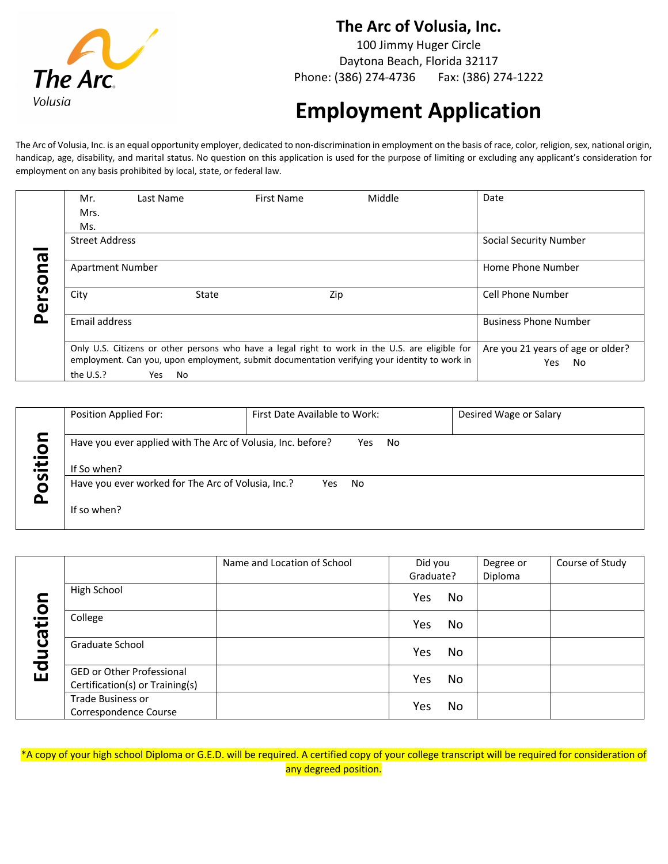

#### **The Arc of Volusia, Inc.**

100 Jimmy Huger Circle Daytona Beach, Florida 32117 Phone: (386) 274-4736 Fax: (386) 274-1222

# **Employment Application**

The Arc of Volusia, Inc. is an equal opportunity employer, dedicated to non-discrimination in employment on the basis of race, color, religion, sex, national origin, handicap, age, disability, and marital status. No question on this application is used for the purpose of limiting or excluding any applicant's consideration for employment on any basis prohibited by local, state, or federal law.

|                                | Mr.                     | Last Name | First Name                                                                                                                                                                                       | Middle | Date                                            |
|--------------------------------|-------------------------|-----------|--------------------------------------------------------------------------------------------------------------------------------------------------------------------------------------------------|--------|-------------------------------------------------|
|                                | Mrs.<br>Ms.             |           |                                                                                                                                                                                                  |        |                                                 |
|                                | <b>Street Address</b>   |           |                                                                                                                                                                                                  |        | Social Security Number                          |
| <b>G</b>                       | <b>Apartment Number</b> |           |                                                                                                                                                                                                  |        | Home Phone Number                               |
| rso<br>$\overline{\mathbf{v}}$ | City                    | State     |                                                                                                                                                                                                  | Zip    | Cell Phone Number                               |
| Δ                              | Email address           |           |                                                                                                                                                                                                  |        | <b>Business Phone Number</b>                    |
|                                | the U.S.?               | No<br>Yes | Only U.S. Citizens or other persons who have a legal right to work in the U.S. are eligible for<br>employment. Can you, upon employment, submit documentation verifying your identity to work in |        | Are you 21 years of age or older?<br>Yes.<br>No |

|                         | Position Applied For:                                                                    | First Date Available to Work: | Desired Wage or Salary |
|-------------------------|------------------------------------------------------------------------------------------|-------------------------------|------------------------|
| oiti<br><u>iso</u><br>n | Have you ever applied with The Arc of Volusia, Inc. before?<br>No<br>Yes.<br>If So when? |                               |                        |
|                         | Have you ever worked for The Arc of Volusia, Inc.?<br>No<br>Yes<br>If so when?           |                               |                        |

|           |                                                              | Name and Location of School | Did you   | Degree or | Course of Study |
|-----------|--------------------------------------------------------------|-----------------------------|-----------|-----------|-----------------|
| Education |                                                              |                             | Graduate? | Diploma   |                 |
|           | High School                                                  |                             | No<br>Yes |           |                 |
|           | College                                                      |                             | No<br>Yes |           |                 |
|           | Graduate School                                              |                             | No<br>Yes |           |                 |
|           | GED or Other Professional<br>Certification(s) or Training(s) |                             | No<br>Yes |           |                 |
|           | Trade Business or<br>Correspondence Course                   |                             | No<br>Yes |           |                 |

\*A copy of your high school Diploma or G.E.D. will be required. A certified copy of your college transcript will be required for consideration of any degreed position.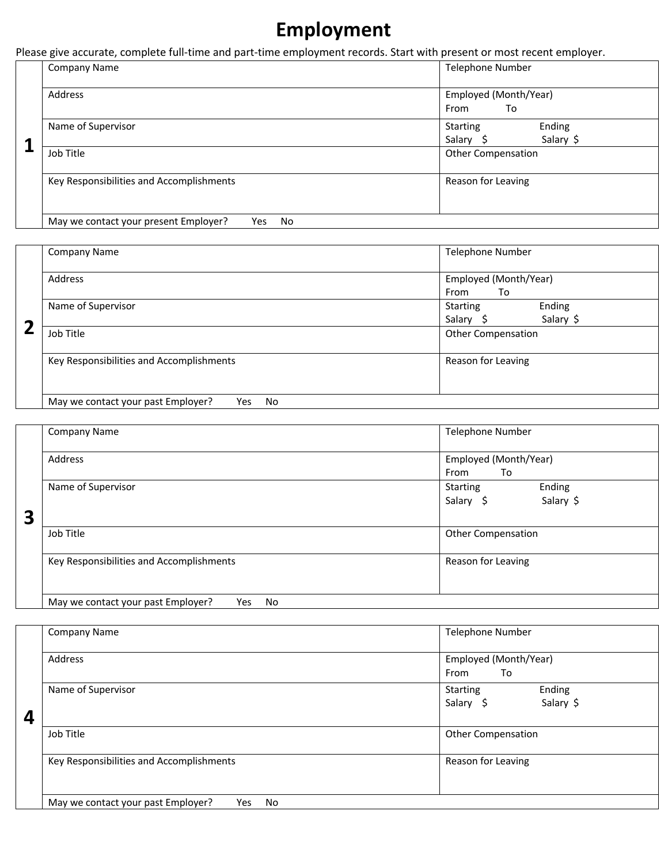# **Employment**

Please give accurate, complete full-time and part-time employment records. Start with present or most recent employer.

|   | Company Name                                        | <b>Telephone Number</b>                             |  |  |
|---|-----------------------------------------------------|-----------------------------------------------------|--|--|
| 1 | Address                                             | Employed (Month/Year)<br>From<br>To                 |  |  |
|   | Name of Supervisor                                  | Ending<br><b>Starting</b><br>Salary \$<br>Salary \$ |  |  |
|   | Job Title                                           | <b>Other Compensation</b>                           |  |  |
|   | Key Responsibilities and Accomplishments            | Reason for Leaving                                  |  |  |
|   | May we contact your present Employer?<br>No<br>Yes. |                                                     |  |  |

|                         | Company Name                                    | <b>Telephone Number</b>                             |  |  |
|-------------------------|-------------------------------------------------|-----------------------------------------------------|--|--|
| $\overline{\mathbf{2}}$ | Address                                         | Employed (Month/Year)<br>From<br>To                 |  |  |
|                         | Name of Supervisor                              | Ending<br><b>Starting</b><br>Salary \$<br>Salary \$ |  |  |
|                         | Job Title                                       | <b>Other Compensation</b>                           |  |  |
|                         | Key Responsibilities and Accomplishments        | Reason for Leaving                                  |  |  |
|                         | May we contact your past Employer?<br>No<br>Yes |                                                     |  |  |

|   | <b>Company Name</b>                                    | <b>Telephone Number</b>   |
|---|--------------------------------------------------------|---------------------------|
|   |                                                        |                           |
|   | Address                                                | Employed (Month/Year)     |
|   |                                                        | From<br>To                |
|   | Name of Supervisor                                     | Ending<br><b>Starting</b> |
|   |                                                        | Salary \$<br>Salary \$    |
| 3 |                                                        |                           |
|   | Job Title                                              | <b>Other Compensation</b> |
|   | Key Responsibilities and Accomplishments               | Reason for Leaving        |
|   | May we contact your past Employer?<br><b>No</b><br>Yes |                           |

|                  | Company Name                                    | <b>Telephone Number</b>                             |
|------------------|-------------------------------------------------|-----------------------------------------------------|
|                  | Address                                         | Employed (Month/Year)<br>To<br>From                 |
| $\boldsymbol{4}$ | Name of Supervisor                              | Ending<br><b>Starting</b><br>Salary \$<br>Salary \$ |
|                  | Job Title                                       | <b>Other Compensation</b>                           |
|                  | Key Responsibilities and Accomplishments        | Reason for Leaving                                  |
|                  | May we contact your past Employer?<br>No<br>Yes |                                                     |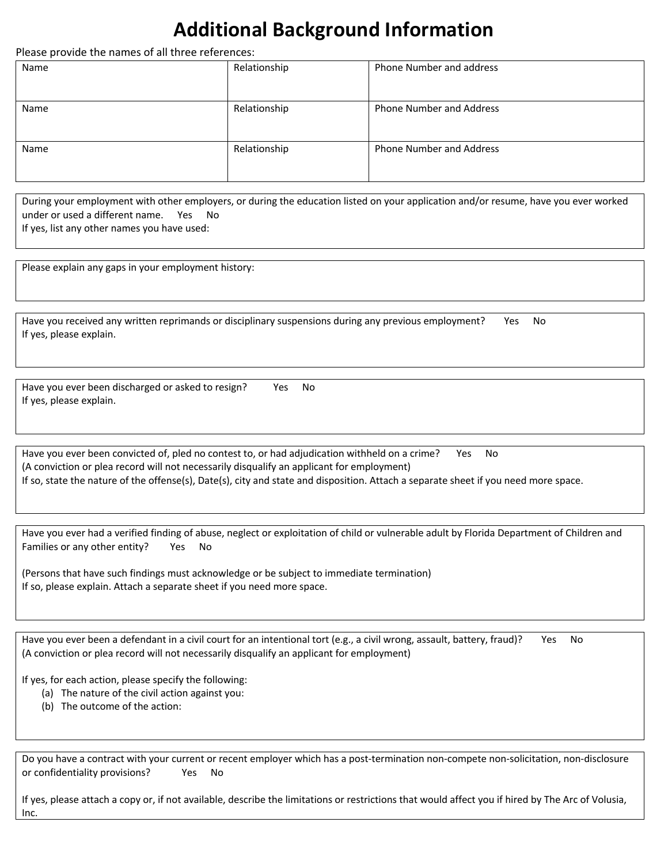## **Additional Background Information**

Please provide the names of all three references:

| Name | Relationship | Phone Number and address        |
|------|--------------|---------------------------------|
| Name | Relationship | <b>Phone Number and Address</b> |
| Name | Relationship | <b>Phone Number and Address</b> |

During your employment with other employers, or during the education listed on your application and/or resume, have you ever worked under or used a different name. Yes No If yes, list any other names you have used:

Please explain any gaps in your employment history:

| Have you received any written reprimands or disciplinary suspensions during any previous employment? | Yes No |  |
|------------------------------------------------------------------------------------------------------|--------|--|
| If yes, please explain.                                                                              |        |  |

Have you ever been discharged or asked to resign? Yes No If yes, please explain.

Have you ever been convicted of, pled no contest to, or had adjudication withheld on a crime? Yes No (A conviction or plea record will not necessarily disqualify an applicant for employment) If so, state the nature of the offense(s), Date(s), city and state and disposition. Attach a separate sheet if you need more space.

Have you ever had a verified finding of abuse, neglect or exploitation of child or vulnerable adult by Florida Department of Children and Families or any other entity? Yes No

(Persons that have such findings must acknowledge or be subject to immediate termination) If so, please explain. Attach a separate sheet if you need more space.

Have you ever been a defendant in a civil court for an intentional tort (e.g., a civil wrong, assault, battery, fraud)? Yes No (A conviction or plea record will not necessarily disqualify an applicant for employment)

If yes, for each action, please specify the following:

- (a) The nature of the civil action against you:
- (b) The outcome of the action:

Do you have a contract with your current or recent employer which has a post-termination non-compete non-solicitation, non-disclosure or confidentiality provisions? Yes No

If yes, please attach a copy or, if not available, describe the limitations or restrictions that would affect you if hired by The Arc of Volusia, Inc.